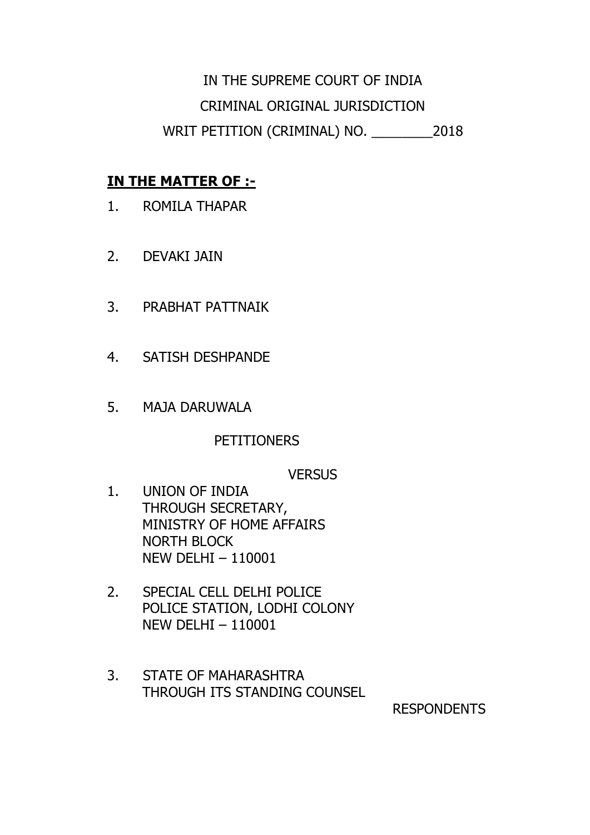# IN THE SUPREME COURT OF INDIA CRIMINAL ORIGINAL JURISDICTION WRIT PETITION (CRIMINAL) NO. \_\_\_\_\_\_\_\_2018

## **IN THE MATTER OF :-**

- 1. ROMILA THAPAR
- 2. DEVAKI JAIN
- 3. PRABHAT PATTNAIK
- 4. SATISH DESHPANDE
- 5. MAJA DARUWALA

### PETITIONERS

### **VERSUS**

- 1. UNION OF INDIA THROUGH SECRETARY, MINISTRY OF HOME AFFAIRS NORTH BLOCK NEW DELHI – 110001
- 2. SPECIAL CELL DELHI POLICE POLICE STATION, LODHI COLONY NEW DELHI – 110001
- 3. STATE OF MAHARASHTRA THROUGH ITS STANDING COUNSEL

RESPONDENTS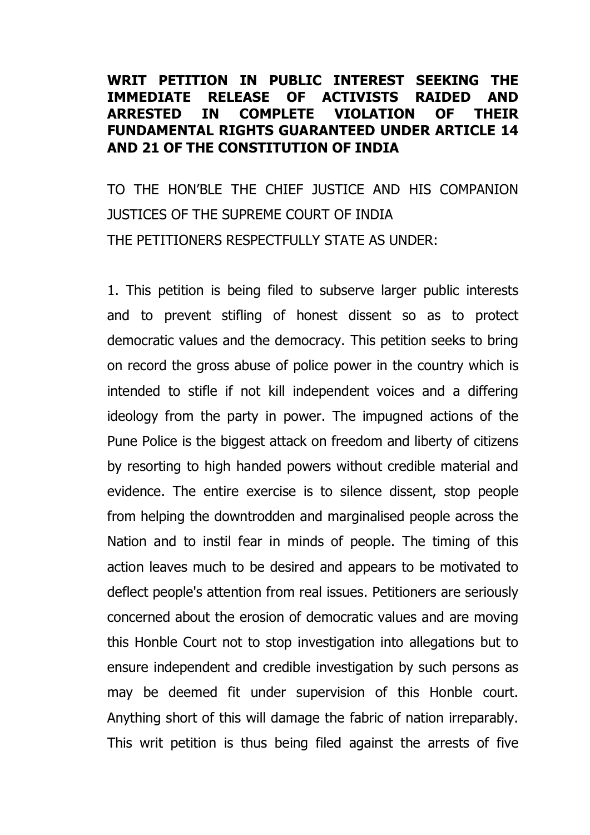#### **WRIT PETITION IN PUBLIC INTEREST SEEKING THE IMMEDIATE RELEASE OF ACTIVISTS RAIDED AND ARRESTED IN COMPLETE VIOLATION OF THEIR FUNDAMENTAL RIGHTS GUARANTEED UNDER ARTICLE 14 AND 21 OF THE CONSTITUTION OF INDIA**

TO THE HON'BLE THE CHIEF JUSTICE AND HIS COMPANION JUSTICES OF THE SUPREME COURT OF INDIA THE PETITIONERS RESPECTFULLY STATE AS UNDER:

1. This petition is being filed to subserve larger public interests and to prevent stifling of honest dissent so as to protect democratic values and the democracy. This petition seeks to bring on record the gross abuse of police power in the country which is intended to stifle if not kill independent voices and a differing ideology from the party in power. The impugned actions of the Pune Police is the biggest attack on freedom and liberty of citizens by resorting to high handed powers without credible material and evidence. The entire exercise is to silence dissent, stop people from helping the downtrodden and marginalised people across the Nation and to instil fear in minds of people. The timing of this action leaves much to be desired and appears to be motivated to deflect people's attention from real issues. Petitioners are seriously concerned about the erosion of democratic values and are moving this Honble Court not to stop investigation into allegations but to ensure independent and credible investigation by such persons as may be deemed fit under supervision of this Honble court. Anything short of this will damage the fabric of nation irreparably. This writ petition is thus being filed against the arrests of five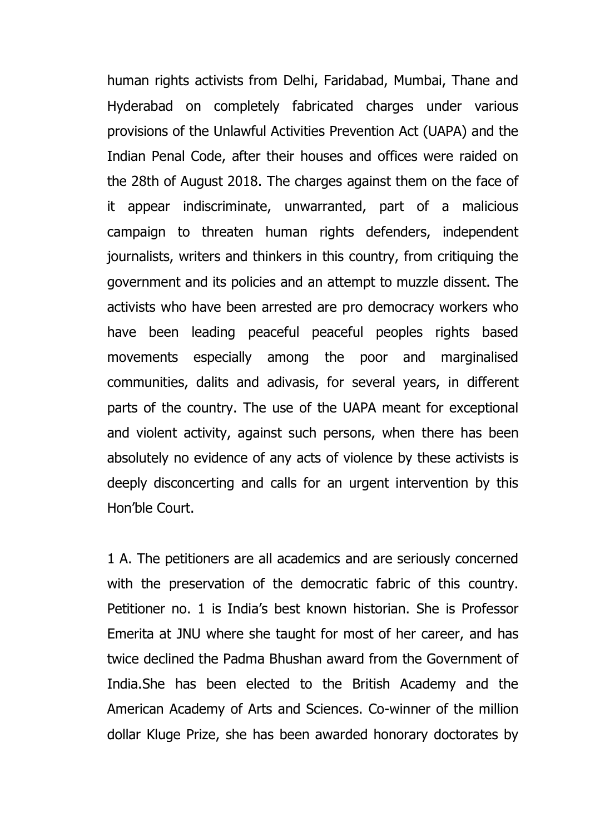human rights activists from Delhi, Faridabad, Mumbai, Thane and Hyderabad on completely fabricated charges under various provisions of the Unlawful Activities Prevention Act (UAPA) and the Indian Penal Code, after their houses and offices were raided on the 28th of August 2018. The charges against them on the face of it appear indiscriminate, unwarranted, part of a malicious campaign to threaten human rights defenders, independent journalists, writers and thinkers in this country, from critiquing the government and its policies and an attempt to muzzle dissent. The activists who have been arrested are pro democracy workers who have been leading peaceful peaceful peoples rights based movements especially among the poor and marginalised communities, dalits and adivasis, for several years, in different parts of the country. The use of the UAPA meant for exceptional and violent activity, against such persons, when there has been absolutely no evidence of any acts of violence by these activists is deeply disconcerting and calls for an urgent intervention by this Hon'ble Court.

1 A. The petitioners are all academics and are seriously concerned with the preservation of the democratic fabric of this country. Petitioner no. 1 is India's best known historian. She is Professor Emerita at JNU where she taught for most of her career, and has twice declined the Padma Bhushan award from the Government of India.She has been elected to the British Academy and the American Academy of Arts and Sciences. Co-winner of the million dollar Kluge Prize, she has been awarded honorary doctorates by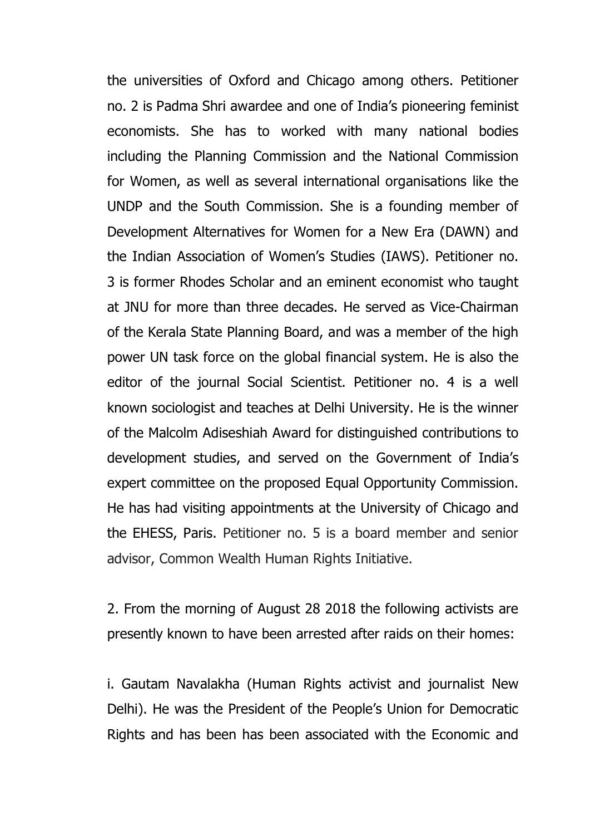the universities of Oxford and Chicago among others. Petitioner no. 2 is Padma Shri awardee and one of India's pioneering feminist economists. She has to worked with many national bodies including the Planning Commission and the National Commission for Women, as well as several international organisations like the UNDP and the South Commission. She is a founding member of Development Alternatives for Women for a New Era (DAWN) and the Indian Association of Women's Studies (IAWS). Petitioner no. 3 is former Rhodes Scholar and an eminent economist who taught at JNU for more than three decades. He served as Vice-Chairman of the Kerala State Planning Board, and was a member of the high power UN task force on the global financial system. He is also the editor of the journal Social Scientist. Petitioner no. 4 is a well known sociologist and teaches at Delhi University. He is the winner of the Malcolm Adiseshiah Award for distinguished contributions to development studies, and served on the Government of India's expert committee on the proposed Equal Opportunity Commission. He has had visiting appointments at the University of Chicago and the EHESS, Paris. Petitioner no. 5 is a board member and senior advisor, Common Wealth Human Rights Initiative.

2. From the morning of August 28 2018 the following activists are presently known to have been arrested after raids on their homes:

i. Gautam Navalakha (Human Rights activist and journalist New Delhi). He was the President of the People's Union for Democratic Rights and has been has been associated with the Economic and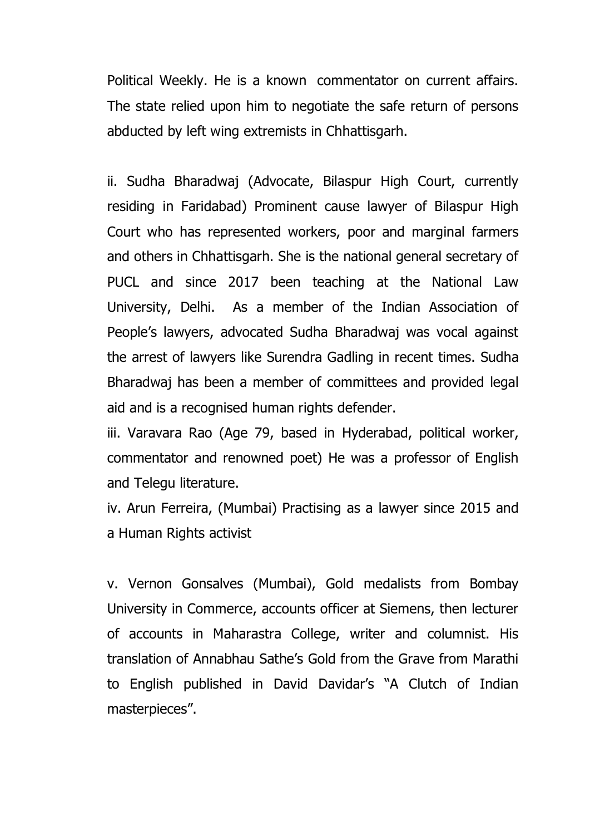Political Weekly. He is a known commentator on current affairs. The state relied upon him to negotiate the safe return of persons abducted by left wing extremists in Chhattisgarh.

ii. Sudha Bharadwaj (Advocate, Bilaspur High Court, currently residing in Faridabad) Prominent cause lawyer of Bilaspur High Court who has represented workers, poor and marginal farmers and others in Chhattisgarh. She is the national general secretary of PUCL and since 2017 been teaching at the National Law University, Delhi. As a member of the Indian Association of People's lawyers, advocated Sudha Bharadwaj was vocal against the arrest of lawyers like Surendra Gadling in recent times. Sudha Bharadwaj has been a member of committees and provided legal aid and is a recognised human rights defender.

iii. Varavara Rao (Age 79, based in Hyderabad, political worker, commentator and renowned poet) He was a professor of English and Telegu literature.

iv. Arun Ferreira, (Mumbai) Practising as a lawyer since 2015 and a Human Rights activist

v. Vernon Gonsalves (Mumbai), Gold medalists from Bombay University in Commerce, accounts officer at Siemens, then lecturer of accounts in Maharastra College, writer and columnist. His translation of Annabhau Sathe's Gold from the Grave from Marathi to English published in David Davidar's "A Clutch of Indian masterpieces".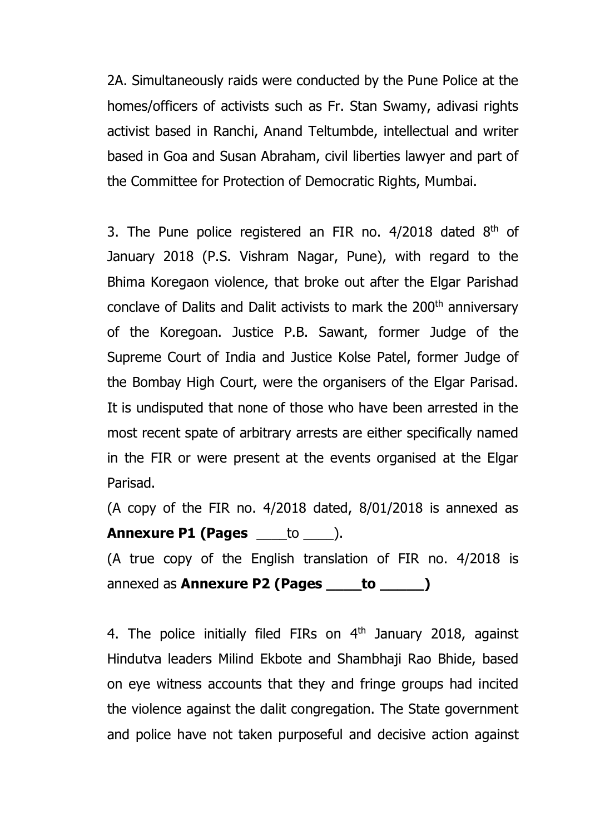2A. Simultaneously raids were conducted by the Pune Police at the homes/officers of activists such as Fr. Stan Swamy, adivasi rights activist based in Ranchi, Anand Teltumbde, intellectual and writer based in Goa and Susan Abraham, civil liberties lawyer and part of the Committee for Protection of Democratic Rights, Mumbai.

3. The Pune police registered an FIR no.  $4/2018$  dated  $8<sup>th</sup>$  of January 2018 (P.S. Vishram Nagar, Pune), with regard to the Bhima Koregaon violence, that broke out after the Elgar Parishad conclave of Dalits and Dalit activists to mark the 200<sup>th</sup> anniversary of the Koregoan. Justice P.B. Sawant, former Judge of the Supreme Court of India and Justice Kolse Patel, former Judge of the Bombay High Court, were the organisers of the Elgar Parisad. It is undisputed that none of those who have been arrested in the most recent spate of arbitrary arrests are either specifically named in the FIR or were present at the events organised at the Elgar Parisad.

(A copy of the FIR no. 4/2018 dated, 8/01/2018 is annexed as **Annexure P1 (Pages** \_\_\_\_to \_\_\_\_). (A true copy of the English translation of FIR no. 4/2018 is annexed as **Annexure P2 (Pages \_\_\_\_to \_\_\_\_\_)**

4. The police initially filed FIRs on  $4<sup>th</sup>$  January 2018, against Hindutva leaders Milind Ekbote and Shambhaji Rao Bhide, based on eye witness accounts that they and fringe groups had incited the violence against the dalit congregation. The State government and police have not taken purposeful and decisive action against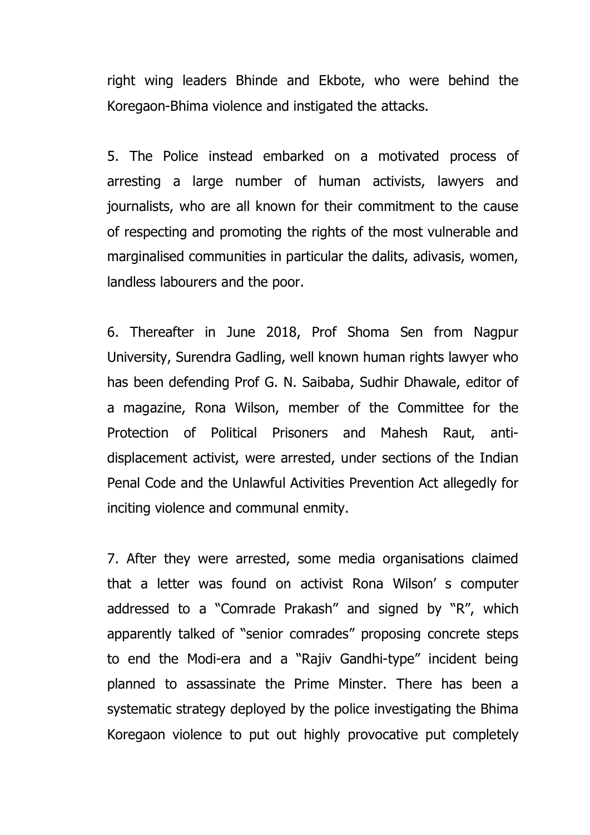right wing leaders Bhinde and Ekbote, who were behind the Koregaon-Bhima violence and instigated the attacks.

5. The Police instead embarked on a motivated process of arresting a large number of human activists, lawyers and journalists, who are all known for their commitment to the cause of respecting and promoting the rights of the most vulnerable and marginalised communities in particular the dalits, adivasis, women, landless labourers and the poor.

6. Thereafter in June 2018, Prof Shoma Sen from Nagpur University, Surendra Gadling, well known human rights lawyer who has been defending Prof G. N. Saibaba, Sudhir Dhawale, editor of a magazine, Rona Wilson, member of the Committee for the Protection of Political Prisoners and Mahesh Raut, antidisplacement activist, were arrested, under sections of the Indian Penal Code and the Unlawful Activities Prevention Act allegedly for inciting violence and communal enmity.

7. After they were arrested, some media organisations claimed that a letter was found on activist Rona Wilson' s computer addressed to a "Comrade Prakash" and signed by "R", which apparently talked of "senior comrades" proposing concrete steps to end the Modi-era and a "Rajiv Gandhi-type" incident being planned to assassinate the Prime Minster. There has been a systematic strategy deployed by the police investigating the Bhima Koregaon violence to put out highly provocative put completely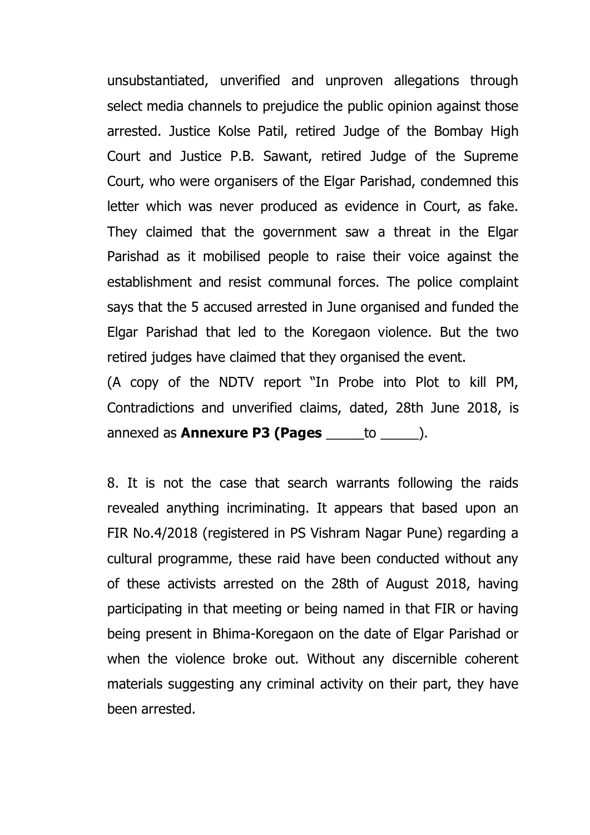unsubstantiated, unverified and unproven allegations through select media channels to prejudice the public opinion against those arrested. Justice Kolse Patil, retired Judge of the Bombay High Court and Justice P.B. Sawant, retired Judge of the Supreme Court, who were organisers of the Elgar Parishad, condemned this letter which was never produced as evidence in Court, as fake. They claimed that the government saw a threat in the Elgar Parishad as it mobilised people to raise their voice against the establishment and resist communal forces. The police complaint says that the 5 accused arrested in June organised and funded the Elgar Parishad that led to the Koregaon violence. But the two retired judges have claimed that they organised the event.

(A copy of the NDTV report "In Probe into Plot to kill PM, Contradictions and unverified claims, dated, 28th June 2018, is annexed as **Annexure P3 (Pages** \_\_\_\_\_to \_\_\_\_\_).

8. It is not the case that search warrants following the raids revealed anything incriminating. It appears that based upon an FIR No.4/2018 (registered in PS Vishram Nagar Pune) regarding a cultural programme, these raid have been conducted without any of these activists arrested on the 28th of August 2018, having participating in that meeting or being named in that FIR or having being present in Bhima-Koregaon on the date of Elgar Parishad or when the violence broke out. Without any discernible coherent materials suggesting any criminal activity on their part, they have been arrested.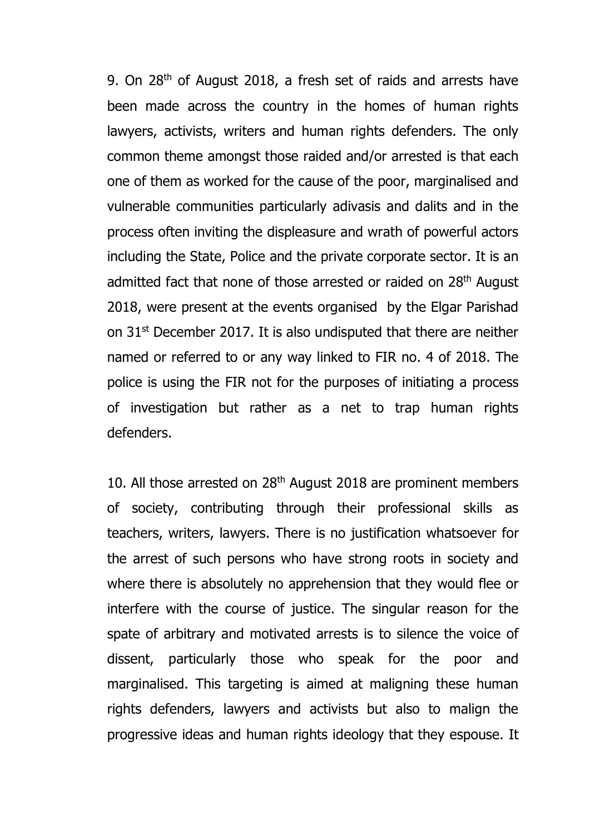9. On 28th of August 2018, a fresh set of raids and arrests have been made across the country in the homes of human rights lawyers, activists, writers and human rights defenders. The only common theme amongst those raided and/or arrested is that each one of them as worked for the cause of the poor, marginalised and vulnerable communities particularly adivasis and dalits and in the process often inviting the displeasure and wrath of powerful actors including the State, Police and the private corporate sector. It is an admitted fact that none of those arrested or raided on 28<sup>th</sup> August 2018, were present at the events organised by the Elgar Parishad on 31st December 2017. It is also undisputed that there are neither named or referred to or any way linked to FIR no. 4 of 2018. The police is using the FIR not for the purposes of initiating a process of investigation but rather as a net to trap human rights defenders.

10. All those arrested on  $28<sup>th</sup>$  August 2018 are prominent members of society, contributing through their professional skills as teachers, writers, lawyers. There is no justification whatsoever for the arrest of such persons who have strong roots in society and where there is absolutely no apprehension that they would flee or interfere with the course of justice. The singular reason for the spate of arbitrary and motivated arrests is to silence the voice of dissent, particularly those who speak for the poor and marginalised. This targeting is aimed at maligning these human rights defenders, lawyers and activists but also to malign the progressive ideas and human rights ideology that they espouse. It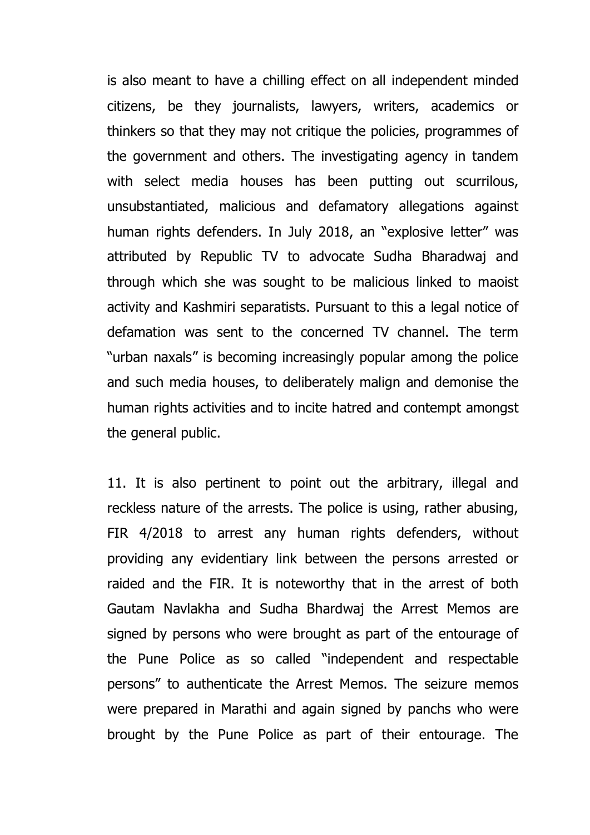is also meant to have a chilling effect on all independent minded citizens, be they journalists, lawyers, writers, academics or thinkers so that they may not critique the policies, programmes of the government and others. The investigating agency in tandem with select media houses has been putting out scurrilous, unsubstantiated, malicious and defamatory allegations against human rights defenders. In July 2018, an "explosive letter" was attributed by Republic TV to advocate Sudha Bharadwaj and through which she was sought to be malicious linked to maoist activity and Kashmiri separatists. Pursuant to this a legal notice of defamation was sent to the concerned TV channel. The term "urban naxals" is becoming increasingly popular among the police and such media houses, to deliberately malign and demonise the human rights activities and to incite hatred and contempt amongst the general public.

11. It is also pertinent to point out the arbitrary, illegal and reckless nature of the arrests. The police is using, rather abusing, FIR 4/2018 to arrest any human rights defenders, without providing any evidentiary link between the persons arrested or raided and the FIR. It is noteworthy that in the arrest of both Gautam Navlakha and Sudha Bhardwaj the Arrest Memos are signed by persons who were brought as part of the entourage of the Pune Police as so called "independent and respectable persons" to authenticate the Arrest Memos. The seizure memos were prepared in Marathi and again signed by panchs who were brought by the Pune Police as part of their entourage. The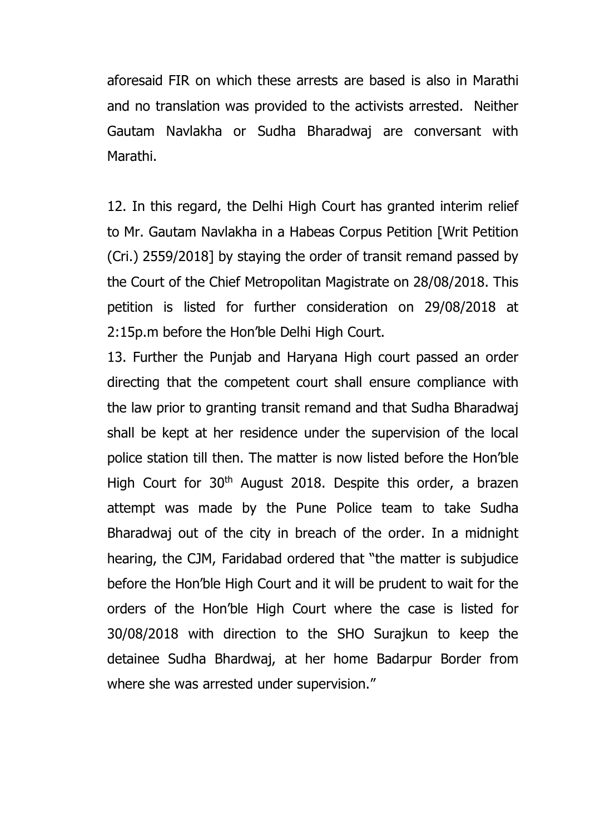aforesaid FIR on which these arrests are based is also in Marathi and no translation was provided to the activists arrested. Neither Gautam Navlakha or Sudha Bharadwaj are conversant with Marathi.

12. In this regard, the Delhi High Court has granted interim relief to Mr. Gautam Navlakha in a Habeas Corpus Petition [Writ Petition (Cri.) 2559/2018] by staying the order of transit remand passed by the Court of the Chief Metropolitan Magistrate on 28/08/2018. This petition is listed for further consideration on 29/08/2018 at 2:15p.m before the Hon'ble Delhi High Court.

13. Further the Punjab and Haryana High court passed an order directing that the competent court shall ensure compliance with the law prior to granting transit remand and that Sudha Bharadwaj shall be kept at her residence under the supervision of the local police station till then. The matter is now listed before the Hon'ble High Court for 30<sup>th</sup> August 2018. Despite this order, a brazen attempt was made by the Pune Police team to take Sudha Bharadwaj out of the city in breach of the order. In a midnight hearing, the CJM, Faridabad ordered that "the matter is subjudice before the Hon'ble High Court and it will be prudent to wait for the orders of the Hon'ble High Court where the case is listed for 30/08/2018 with direction to the SHO Surajkun to keep the detainee Sudha Bhardwaj, at her home Badarpur Border from where she was arrested under supervision."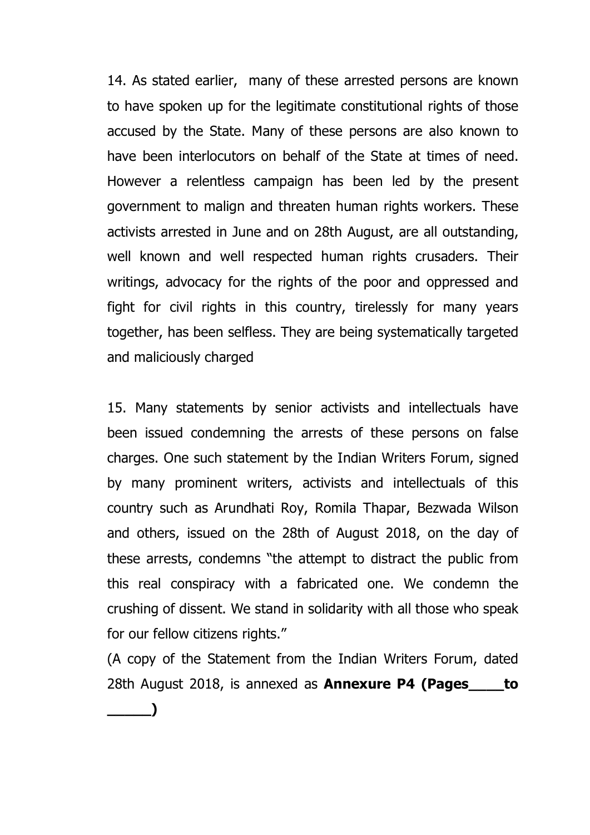14. As stated earlier, many of these arrested persons are known to have spoken up for the legitimate constitutional rights of those accused by the State. Many of these persons are also known to have been interlocutors on behalf of the State at times of need. However a relentless campaign has been led by the present government to malign and threaten human rights workers. These activists arrested in June and on 28th August, are all outstanding, well known and well respected human rights crusaders. Their writings, advocacy for the rights of the poor and oppressed and fight for civil rights in this country, tirelessly for many years together, has been selfless. They are being systematically targeted and maliciously charged

15. Many statements by senior activists and intellectuals have been issued condemning the arrests of these persons on false charges. One such statement by the Indian Writers Forum, signed by many prominent writers, activists and intellectuals of this country such as Arundhati Roy, Romila Thapar, Bezwada Wilson and others, issued on the 28th of August 2018, on the day of these arrests, condemns "the attempt to distract the public from this real conspiracy with a fabricated one. We condemn the crushing of dissent. We stand in solidarity with all those who speak for our fellow citizens rights."

(A copy of the Statement from the Indian Writers Forum, dated 28th August 2018, is annexed as **Annexure P4 (Pages\_\_\_\_to \_\_\_\_\_)**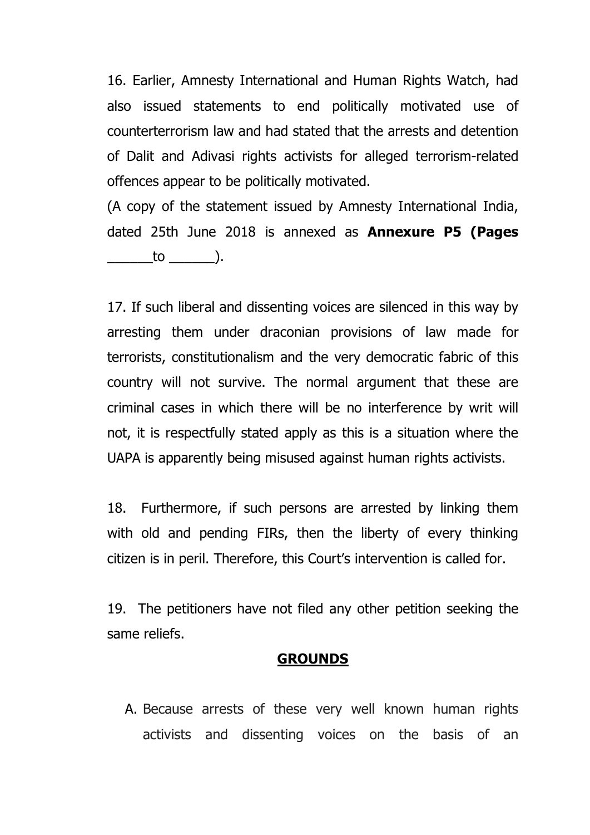16. Earlier, Amnesty International and Human Rights Watch, had also issued statements to end politically motivated use of counterterrorism law and had stated that the arrests and detention of Dalit and Adivasi rights activists for alleged terrorism-related offences appear to be politically motivated.

(A copy of the statement issued by Amnesty International India, dated 25th June 2018 is annexed as **Annexure P5 (Pages**  $\qquad \qquad \text{to} \qquad \qquad$  ).

17. If such liberal and dissenting voices are silenced in this way by arresting them under draconian provisions of law made for terrorists, constitutionalism and the very democratic fabric of this country will not survive. The normal argument that these are criminal cases in which there will be no interference by writ will not, it is respectfully stated apply as this is a situation where the UAPA is apparently being misused against human rights activists.

18. Furthermore, if such persons are arrested by linking them with old and pending FIRs, then the liberty of every thinking citizen is in peril. Therefore, this Court's intervention is called for.

19. The petitioners have not filed any other petition seeking the same reliefs.

#### **GROUNDS**

A. Because arrests of these very well known human rights activists and dissenting voices on the basis of an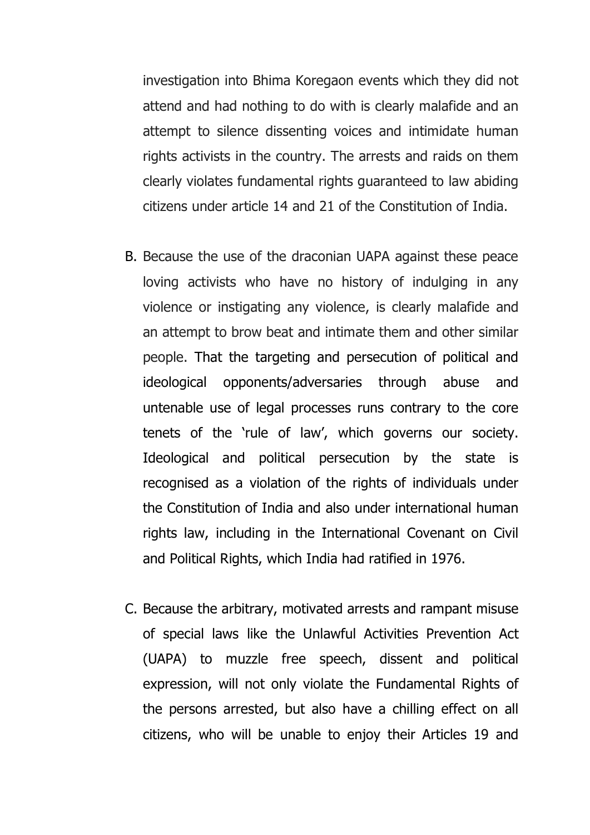investigation into Bhima Koregaon events which they did not attend and had nothing to do with is clearly malafide and an attempt to silence dissenting voices and intimidate human rights activists in the country. The arrests and raids on them clearly violates fundamental rights guaranteed to law abiding citizens under article 14 and 21 of the Constitution of India.

- B. Because the use of the draconian UAPA against these peace loving activists who have no history of indulging in any violence or instigating any violence, is clearly malafide and an attempt to brow beat and intimate them and other similar people. That the targeting and persecution of political and ideological opponents/adversaries through abuse and untenable use of legal processes runs contrary to the core tenets of the 'rule of law', which governs our society. Ideological and political persecution by the state is recognised as a violation of the rights of individuals under the Constitution of India and also under international human rights law, including in the International Covenant on Civil and Political Rights, which India had ratified in 1976.
- C. Because the arbitrary, motivated arrests and rampant misuse of special laws like the Unlawful Activities Prevention Act (UAPA) to muzzle free speech, dissent and political expression, will not only violate the Fundamental Rights of the persons arrested, but also have a chilling effect on all citizens, who will be unable to enjoy their Articles 19 and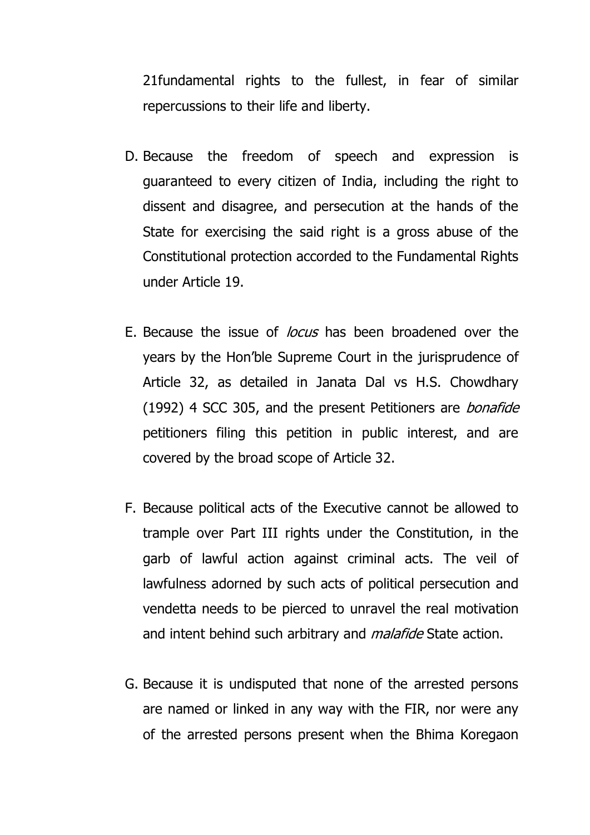21fundamental rights to the fullest, in fear of similar repercussions to their life and liberty.

- D. Because the freedom of speech and expression is guaranteed to every citizen of India, including the right to dissent and disagree, and persecution at the hands of the State for exercising the said right is a gross abuse of the Constitutional protection accorded to the Fundamental Rights under Article 19.
- E. Because the issue of locus has been broadened over the years by the Hon'ble Supreme Court in the jurisprudence of Article 32, as detailed in Janata Dal vs H.S. Chowdhary (1992) 4 SCC 305, and the present Petitioners are *bonafide* petitioners filing this petition in public interest, and are covered by the broad scope of Article 32.
- F. Because political acts of the Executive cannot be allowed to trample over Part III rights under the Constitution, in the garb of lawful action against criminal acts. The veil of lawfulness adorned by such acts of political persecution and vendetta needs to be pierced to unravel the real motivation and intent behind such arbitrary and *malafide* State action.
- G. Because it is undisputed that none of the arrested persons are named or linked in any way with the FIR, nor were any of the arrested persons present when the Bhima Koregaon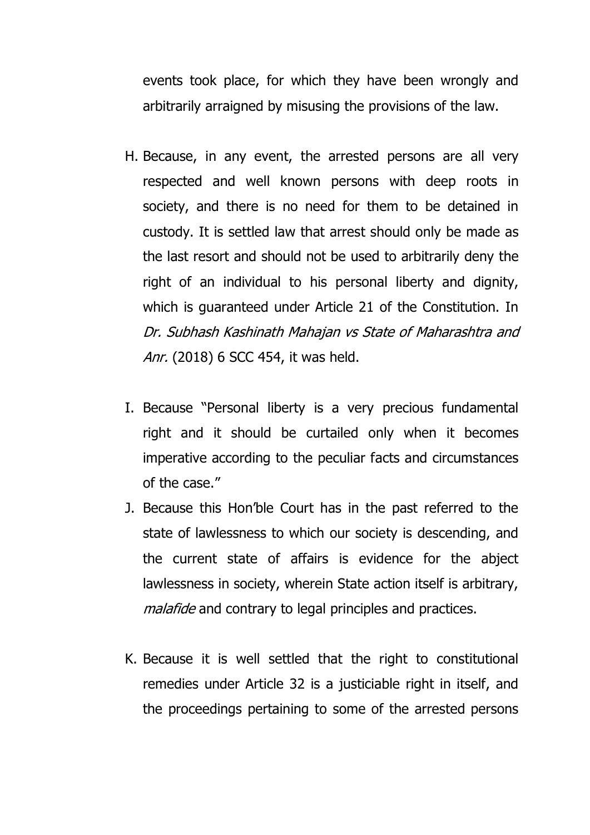events took place, for which they have been wrongly and arbitrarily arraigned by misusing the provisions of the law.

- H. Because, in any event, the arrested persons are all very respected and well known persons with deep roots in society, and there is no need for them to be detained in custody. It is settled law that arrest should only be made as the last resort and should not be used to arbitrarily deny the right of an individual to his personal liberty and dignity, which is guaranteed under Article 21 of the Constitution. In Dr. Subhash Kashinath Mahajan vs State of Maharashtra and Anr. (2018) 6 SCC 454, it was held.
- I. Because "Personal liberty is a very precious fundamental right and it should be curtailed only when it becomes imperative according to the peculiar facts and circumstances of the case."
- J. Because this Hon'ble Court has in the past referred to the state of lawlessness to which our society is descending, and the current state of affairs is evidence for the abject lawlessness in society, wherein State action itself is arbitrary, malafide and contrary to legal principles and practices.
- K. Because it is well settled that the right to constitutional remedies under Article 32 is a justiciable right in itself, and the proceedings pertaining to some of the arrested persons